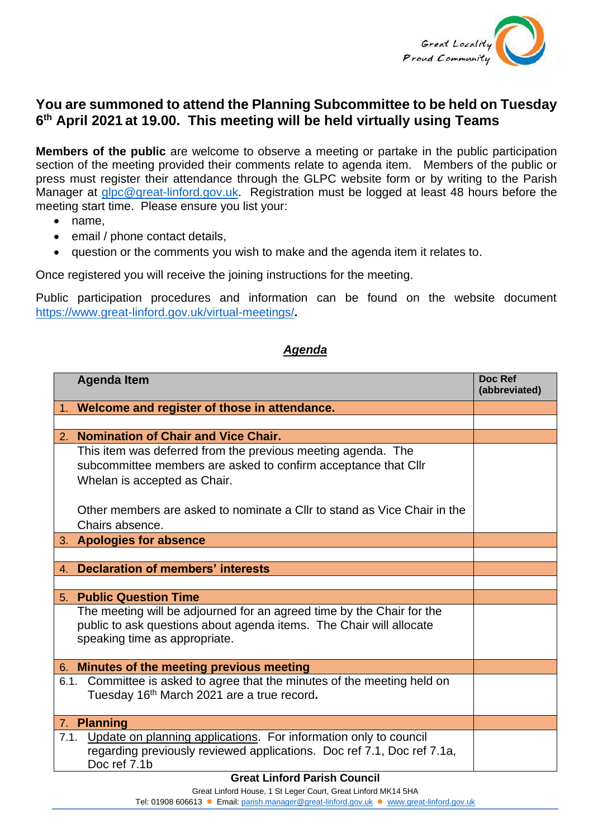

## **You are summoned to attend the Planning Subcommittee to be held on Tuesday 6 th April 2021 at 19.00. This meeting will be held virtually using Teams**

**Members of the public** are welcome to observe a meeting or partake in the public participation section of the meeting provided their comments relate to agenda item. Members of the public or press must register their attendance through the GLPC website form or by writing to the Parish Manager at [glpc@great-linford.gov.uk.](mailto:glpc@great-linford.gov.uk) Registration must be logged at least 48 hours before the meeting start time. Please ensure you list your:

- name,
- email / phone contact details.
- question or the comments you wish to make and the agenda item it relates to.

Once registered you will receive the joining instructions for the meeting.

Public participation procedures and information can be found on the website document <https://www.great-linford.gov.uk/virtual-meetings/>**.** 

## *Agenda*

|    | <b>Agenda Item</b>                                                       | Doc Ref<br>(abbreviated) |
|----|--------------------------------------------------------------------------|--------------------------|
|    | 1. Welcome and register of those in attendance.                          |                          |
|    |                                                                          |                          |
| 2. | <b>Nomination of Chair and Vice Chair.</b>                               |                          |
|    | This item was deferred from the previous meeting agenda. The             |                          |
|    | subcommittee members are asked to confirm acceptance that Cllr           |                          |
|    | Whelan is accepted as Chair.                                             |                          |
|    | Other members are asked to nominate a Cllr to stand as Vice Chair in the |                          |
|    | Chairs absence.                                                          |                          |
|    | 3. Apologies for absence                                                 |                          |
|    |                                                                          |                          |
|    | 4. Declaration of members' interests                                     |                          |
|    |                                                                          |                          |
| 5. | <b>Public Question Time</b>                                              |                          |
|    | The meeting will be adjourned for an agreed time by the Chair for the    |                          |
|    | public to ask questions about agenda items. The Chair will allocate      |                          |
|    | speaking time as appropriate.                                            |                          |
| 6. | Minutes of the meeting previous meeting                                  |                          |
|    | 6.1. Committee is asked to agree that the minutes of the meeting held on |                          |
|    | Tuesday 16th March 2021 are a true record.                               |                          |
|    | 7. Planning                                                              |                          |
|    | 7.1. Update on planning applications. For information only to council    |                          |
|    | regarding previously reviewed applications. Doc ref 7.1, Doc ref 7.1a,   |                          |
|    | Doc ref 7.1b                                                             |                          |